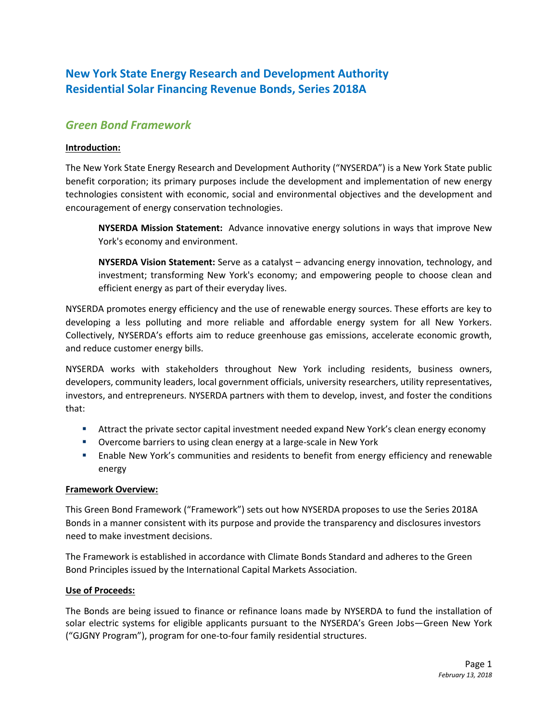# **New York State Energy Research and Development Authority Residential Solar Financing Revenue Bonds, Series 2018A**

# *Green Bond Framework*

## **Introduction:**

The New York State Energy Research and Development Authority ("NYSERDA") is a New York State public benefit corporation; its primary purposes include the development and implementation of new energy technologies consistent with economic, social and environmental objectives and the development and encouragement of energy conservation technologies.

**NYSERDA Mission Statement:** Advance innovative energy solutions in ways that improve New York's economy and environment.

**NYSERDA Vision Statement:** Serve as a catalyst – advancing energy innovation, technology, and investment; transforming New York's economy; and empowering people to choose clean and efficient energy as part of their everyday lives.

NYSERDA promotes energy efficiency and the use of renewable energy sources. These efforts are key to developing a less polluting and more reliable and affordable energy system for all New Yorkers. Collectively, NYSERDA's efforts aim to reduce greenhouse gas emissions, accelerate economic growth, and reduce customer energy bills.

NYSERDA works with stakeholders throughout New York including residents, business owners, developers, community leaders, local government officials, university researchers, utility representatives, investors, and entrepreneurs. NYSERDA partners with them to develop, invest, and foster the conditions that:

- Attract the private sector capital investment needed expand New York's clean energy economy
- Overcome barriers to using clean energy at a large-scale in New York
- Enable New York's communities and residents to benefit from energy efficiency and renewable energy

### **Framework Overview:**

This Green Bond Framework ("Framework") sets out how NYSERDA proposes to use the Series 2018A Bonds in a manner consistent with its purpose and provide the transparency and disclosures investors need to make investment decisions.

The Framework is established in accordance with Climate Bonds Standard and adheres to the Green Bond Principles issued by the International Capital Markets Association.

### **Use of Proceeds:**

The Bonds are being issued to finance or refinance loans made by NYSERDA to fund the installation of solar electric systems for eligible applicants pursuant to the NYSERDA's Green Jobs—Green New York ("GJGNY Program"), program for one-to-four family residential structures.